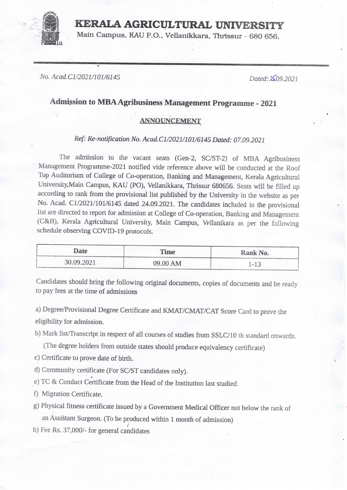## KERAIA AGRICULTURAL UNIVERSITY

Main Campus, KAU P.O., Vellanikkara, Thrissur - 680 656,

• INo. Acad.C1/2021/101/6145

Dated:2\$09.2021

## Admission to MBA Agribusiness Management Programme - 2021

## ANNOUNCEMENT

## Ref: Re-notification No. Acad.C1/2021/101/6145 Dated: 07.09.2021

The admission to the vacant seats (Gen-2, SC/ST-2) of MBA Agribusiness Management Programme-2021 notified vide reference above will be conducted at the Roof Top Auditorium of College of Co-operation, Banking and Management, Kerala Agricultural University, Main Campus, KAU (PO), Vellanikkara, Thrissur 680656. Seats will be filled up according to rank from the provisional list published by the University in the website as per No. Acad. C1/2021/101/6145 dated 24.09.2021. The candidates included in the provisional list are directed to report for admission at College of Co-operation, Banking and Management (C&B), Kerala Agricultural University, Main Campus, Vellanikara as per the following 'schedule observing COVID-19 protocols.

| Date       | <b>Time</b> | Rank No. |
|------------|-------------|----------|
| 30.09.2021 | 09.00 AM    | $-1^{-}$ |

Candidates should bring the following original documents, copies of documents and be ready to pay fees at the time of admissions

a) Degree/Provisional Degree Certificate and KMAT/CMAT/CAT Score Card to prove the eligibility for admission.

b) Mark list/Transcript in respect of all courses of studies from SSLC/10 th standard onwards.

(The degree holders from outside states should produce equivalency certificate)

- c) Certificate to prove date of birth.
- d) Community certificate (For SC/ST candidates only).
- e) TC & Conduct Certificate from the Head of the Institution last studied.
- f) Migration Certificate.
- g) Physical fitness certificate issued by a Government Medical Officer not below the rank of an Assistant Surgeon. (To be produced within 1 month of admission)
- b) Fee Rs. 37,000/- for general candidates